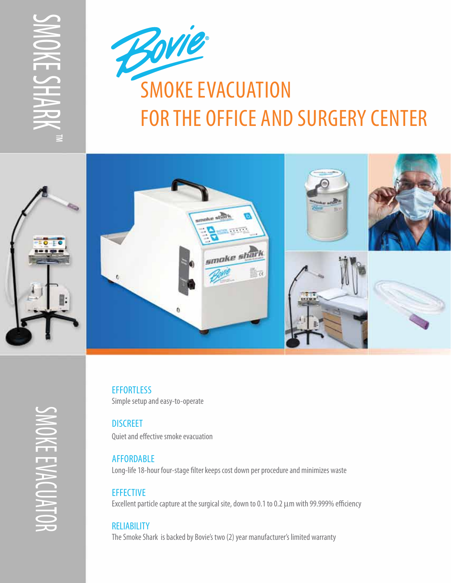SMOKE S H  $\sum$ RK ™





SMOKE EVACUATO *OKEEVACUATO*  $\overline{\smash{\sim}}$ 

**EFFORTLESS** Simple setup and easy-to-operate

**DISCREET** Quiet and effective smoke evacuation

## **AFFORDABLE**

Long-life 18-hour four-stage filter keeps cost down per procedure and minimizes waste

## **EFFECTIVE**

Excellent particle capture at the surgical site, down to 0.1 to 0.2 µm with 99.999% efficiency

## **RELIABILITY**

The Smoke Shark is backed by Bovie's two (2) year manufacturer's limited warranty